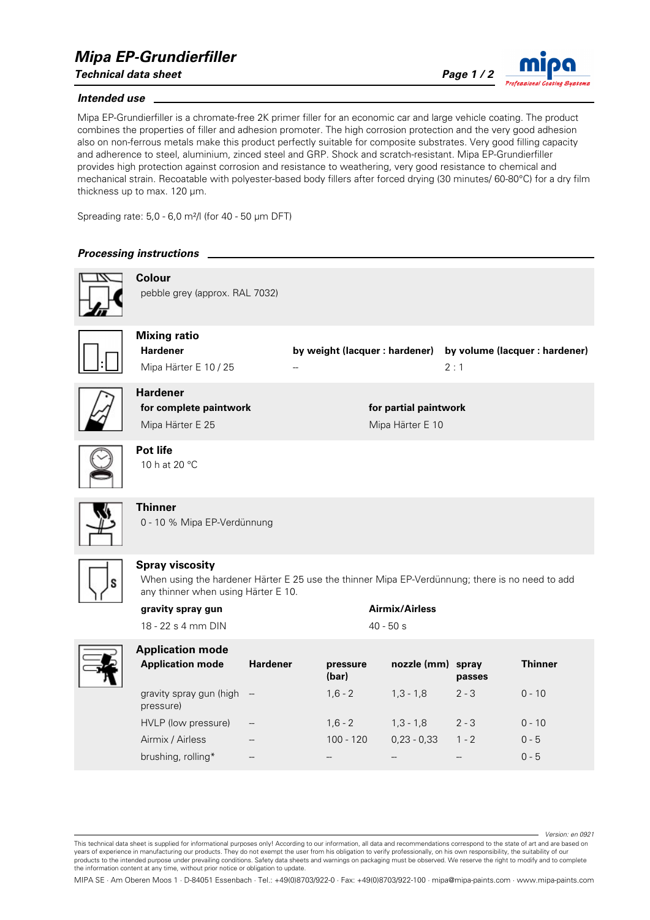# *Mipa EP-Grundierfiller*

*Technical data sheet Page 1 / 2*

### *Intended use*

Mipa EP-Grundierfiller is a chromate-free 2K primer filler for an economic car and large vehicle coating. The product combines the properties of filler and adhesion promoter. The high corrosion protection and the very good adhesion also on non-ferrous metals make this product perfectly suitable for composite substrates. Very good filling capacity and adherence to steel, aluminium, zinced steel and GRP. Shock and scratch-resistant. Mipa EP-Grundierfiller provides high protection against corrosion and resistance to weathering, very good resistance to chemical and mechanical strain. Recoatable with polyester-based body fillers after forced drying (30 minutes/ 60-80°C) for a dry film thickness up to max. 120 µm.

Spreading rate: 5,0 - 6,0 m²/l (for 40 - 50 µm DFT)

## *Processing instructions*

**Colour**



pebble grey (approx. RAL 7032)



**Mixing ratio**

**Hardener by weight (lacquer : hardener) by volume (lacquer : hardener)** Mipa Härter E 10 / 25 -- 2 : 1



**Hardener for complete paintwork for partial paintwork** Mipa Härter E 25 Mipa Härter E 10



**Pot life** 10 h at 20 °C



# **Thinner**

0 - 10 % Mipa EP-Verdünnung



## **Spray viscosity**

When using the hardener Härter E 25 use the thinner Mipa EP-Verdünnung; there is no need to add any thinner when using Härter E 10.

| gravity spray gun  | Airmix/Airless |
|--------------------|----------------|
| 18 - 22 s 4 mm DIN | $40 - 50 s$    |



| <b>Application mode</b>                |                          |                   |                   |         |          |
|----------------------------------------|--------------------------|-------------------|-------------------|---------|----------|
| <b>Application mode</b>                | <b>Hardener</b>          | pressure<br>(bar) | nozzle (mm) spray | passes  | Thinner  |
| gravity spray gun (high -<br>pressure) |                          | $1.6 - 2$         | $1.3 - 1.8$       | $2 - 3$ | $0 - 10$ |
| HVLP (low pressure)                    | $\overline{\phantom{a}}$ | $1.6 - 2$         | $1.3 - 1.8$       | $2 - 3$ | $0 - 10$ |
| Airmix / Airless                       | --                       | $100 - 120$       | $0.23 - 0.33$     | $1 - 2$ | $0 - 5$  |
| brushing, rolling*                     | --                       |                   |                   |         | $0 - 5$  |

*Version: en 0921*

This technical data sheet is supplied for informational purposes only! According to our information, all data and recommendations correspond to the state of art and are based on years of experience in manufacturing our products. They do not exempt the user from his obligation to verify professionally, on his own responsibility, the suitability of our products to the intended purpose under prevailing conditions. Safety data sheets and warnings on packaging must be observed. We reserve the right to modify and to complete the information content at any time, without prior notice or obligation to update.

MIPA SE · Am Oberen Moos 1 · D-84051 Essenbach · Tel.: +49(0)8703/922-0 · Fax: +49(0)8703/922-100 · mipa@mipa-paints.com · www.mipa-paints.com